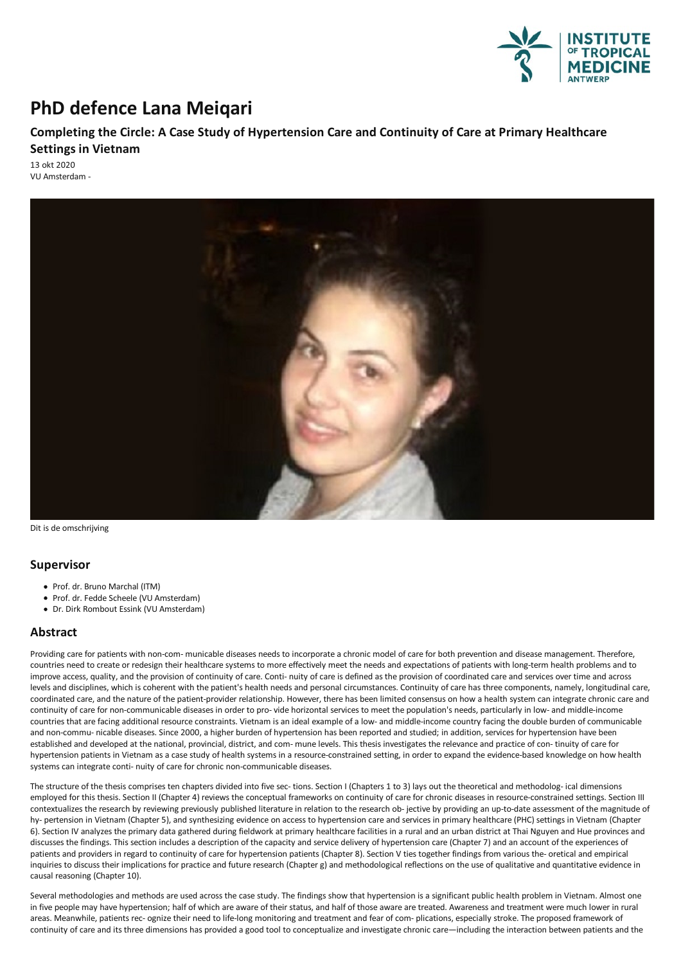

## **PhD defence Lana Meiqari**

## **Completingthe Circle: A Case Study of Hypertension Care and Continuity of Care at Primary Healthcare Settings in Vietnam**

13 okt 2020 VU Amsterdam -



Dit is de omschrijving

## **Supervisor**

- Prof. dr. Bruno Marchal (ITM)
- Prof. dr. Fedde Scheele (VU Amsterdam)
- Dr. Dirk Rombout Essink (VU Amsterdam)

## **Abstract**

Providing care for patients with non-com- municable diseases needs to incorporate achronic model of care for both prevention and disease management.Therefore, countries need to create or redesign their healthcare systems to more effectively meet the needs and expectations of patients with long-term health problems and to improve access, quality, and the provision of continuity of care. Conti- nuity of care is defined as the provision of coordinated care and services over time and across levels and disciplines, which is coherent with the patient's health needs and personal circumstances. Continuity of care has three components, namely, longitudinal care, coordinated care, and the nature of the patient-provider relationship. However, there has been limited consensus on how a health system can integrate chronic care and continuity of care for non-communicable diseases in order to pro-vide horizontal services to meet the population's needs, particularly in low-and middle-income countries that are facing additional resource constraints. Vietnam is an ideal example of a low- and middle-income country facing the double burden of communicable and non-commu- nicable diseases. Since 2000, a higher burden of hypertension has been reported and studied; in addition, services for hypertension have been established and developed at the national, provincial, district, and com- mune levels. This thesis investigates the relevance and practice of con- tinuity of care for hypertension patients in Vietnam as a case study of health systems in a resource-constrained setting, in order to expand the evidence-based knowledge on how health systems can integrate conti- nuity of care for chronic non-communicable diseases.

The structure of the thesis comprises ten chapters divided into five sec- tions. Section I (Chapters 1 to 3) lays out the theoretical and methodolog- ical dimensions employed for this thesis. Section II (Chapter 4) reviews the conceptual frameworks on continuity of care for chronic diseases in resource-constrained settings. Section III contextualizes the research by reviewing previously published literature in relation to the research ob- jective by providingan up-to-date assessment of the magnitude of hy- pertension in Vietnam (Chapter 5), and synthesizing evidence on access to hypertension care and services in primary healthcare (PHC) settings in Vietnam (Chapter 6). Section IV analyzes the primary data gathered during fieldwork at primary healthcare facilities in a rural and an urban district at Thai Nguyen and Hue provinces and discusses the findings. This section includes a description of the capacity and service delivery of hypertension care (Chapter 7) and an account of the experiences of patients and providers in regard to continuity of care for hypertension patients (Chapter 8). Section V ties together findings from various the- oretical and empirical inquiries to discuss their implications for practice and future research (Chapter g) and methodological reflections on the use of qualitative and quantitative evidence in causal reasoning (Chapter 10).

Several methodologies and methods are used across the case study. The findings show that hypertension is a significant public health problem in Vietnam. Almost one in five people may have hypertension; half of which are aware of their status, and half of those aware are treated. Awareness and treatment were much lower in rural areas. Meanwhile, patients rec- ognize their need to life-long monitoring and treatment and fear of com- plications, especially stroke. The proposed framework of continuity of care and its three dimensions has provided a good tool to conceptualize and investigate chronic care—including the interaction between patients and the